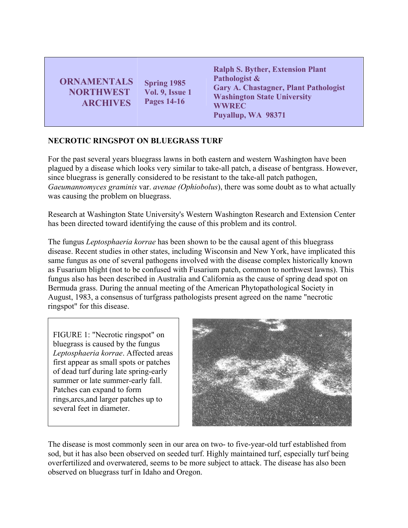| <b>ORNAMENTALS</b> | <b>Ralph S. Byther, Extension Plant</b>      |
|--------------------|----------------------------------------------|
| <b>Spring 1985</b> | Pathologist &                                |
| <b>NORTHWEST</b>   | <b>Gary A. Chastagner, Plant Pathologist</b> |
| Vol. 9, Issue 1    | <b>Washington State University</b>           |
| <b>Pages 14-16</b> | <b>WWREC</b>                                 |
| <b>ARCHIVES</b>    | Puyallup, WA 98371                           |

## **NECROTIC RINGSPOT ON BLUEGRASS TURF**

For the past several years bluegrass lawns in both eastern and western Washington have been plagued by a disease which looks very similar to take-all patch, a disease of bentgrass. However, since bluegrass is generally considered to be resistant to the take-all patch pathogen, *Gaeumannomyces graminis* var. *avenae (Ophiobolus*), there was some doubt as to what actually was causing the problem on bluegrass.

Research at Washington State University's Western Washington Research and Extension Center has been directed toward identifying the cause of this problem and its control.

The fungus *Leptosphaeria korrae* has been shown to be the causal agent of this bluegrass disease. Recent studies in other states, including Wisconsin and New York, have implicated this same fungus as one of several pathogens involved with the disease complex historically known as Fusarium blight (not to be confused with Fusarium patch, common to northwest lawns). This fungus also has been described in Australia and California as the cause of spring dead spot on Bermuda grass. During the annual meeting of the American Phytopathological Society in August, 1983, a consensus of turfgrass pathologists present agreed on the name "necrotic ringspot" for this disease.

FIGURE 1: "Necrotic ringspot" on bluegrass is caused by the fungus *Leptosphaeria korrae*. Affected areas first appear as small spots or patches of dead turf during late spring-early summer or late summer-early fall. Patches can expand to form rings,arcs,and larger patches up to several feet in diameter



The disease is most commonly seen in our area on two- to five-year-old turf established from sod, but it has also been observed on seeded turf. Highly maintained turf, especially turf being overfertilized and overwatered, seems to be more subject to attack. The disease has also been observed on bluegrass turf in Idaho and Oregon.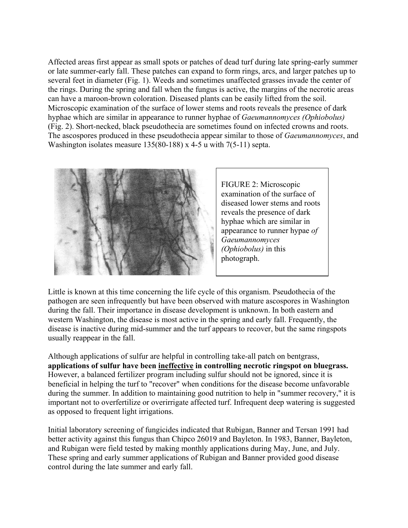Affected areas first appear as small spots or patches of dead turf during late spring-early summer or late summer-early fall. These patches can expand to form rings, arcs, and larger patches up to several feet in diameter (Fig. 1). Weeds and sometimes unaffected grasses invade the center of the rings. During the spring and fall when the fungus is active, the margins of the necrotic areas can have a maroon-brown coloration. Diseased plants can be easily lifted from the soil. Microscopic examination of the surface of lower stems and roots reveals the presence of dark hyphae which are similar in appearance to runner hyphae of *Gaeumannomyces (Ophiobolus)* (Fig. 2). Short-necked, black pseudothecia are sometimes found on infected crowns and roots. The ascospores produced in these pseudothecia appear similar to those of *Gaeumannomyces*, and Washington isolates measure 135(80-188) x 4-5 u with 7(5-11) septa.



FIGURE 2: Microscopic examination of the surface of diseased lower stems and roots reveals the presence of dark hyphae which are similar in appearance to runner hypae *of Gaeumannomyces (Ophiobolus)* in this photograph.

Little is known at this time concerning the life cycle of this organism. Pseudothecia of the pathogen are seen infrequently but have been observed with mature ascospores in Washington during the fall. Their importance in disease development is unknown. In both eastern and western Washington, the disease is most active in the spring and early fall. Frequently, the disease is inactive during mid-summer and the turf appears to recover, but the same ringspots usually reappear in the fall.

Although applications of sulfur are helpful in controlling take-all patch on bentgrass, **applications of sulfur have been ineffective in controlling necrotic ringspot on bluegrass.**  However, a balanced fertilizer program including sulfur should not be ignored, since it is beneficial in helping the turf to "recover" when conditions for the disease become unfavorable during the summer. In addition to maintaining good nutrition to help in "summer recovery," it is important not to overfertilize or overirrigate affected turf. Infrequent deep watering is suggested as opposed to frequent light irrigations.

Initial laboratory screening of fungicides indicated that Rubigan, Banner and Tersan 1991 had better activity against this fungus than Chipco 26019 and Bayleton. In 1983, Banner, Bayleton, and Rubigan were field tested by making monthly applications during May, June, and July. These spring and early summer applications of Rubigan and Banner provided good disease control during the late summer and early fall.